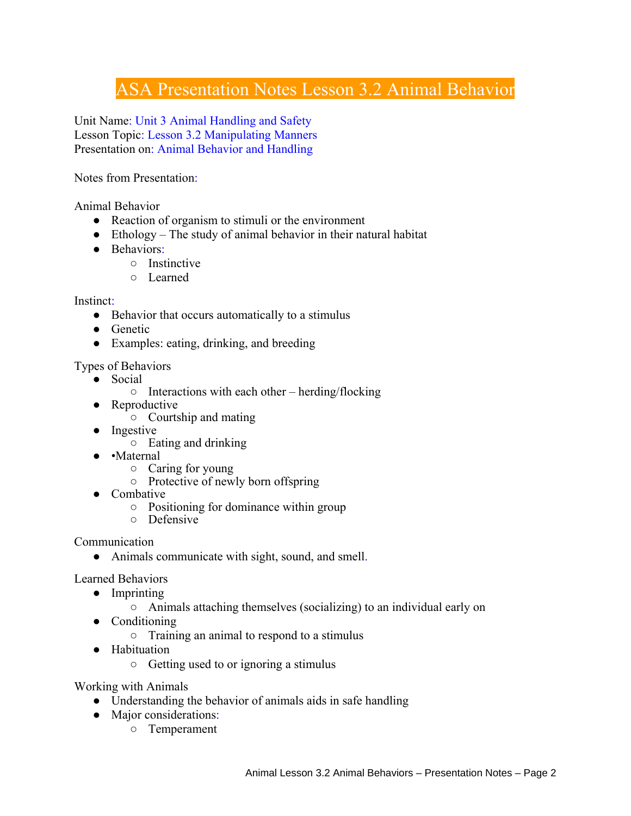## ASA Presentation Notes Lesson 3.2 Animal Behavior

Unit Name: Unit 3 Animal Handling and Safety Lesson Topic: Lesson 3.2 Manipulating Manners Presentation on: Animal Behavior and Handling

Notes from Presentation:

Animal Behavior

- Reaction of organism to stimuli or the environment
- $\bullet$  Ethology The study of animal behavior in their natural habitat
- Behaviors:
	- Instinctive
	- Learned

Instinct:

- Behavior that occurs automatically to a stimulus
- Genetic
- Examples: eating, drinking, and breeding

Types of Behaviors

- Social
	- $\circ$  Interactions with each other herding/flocking
- Reproductive
	- Courtship and mating
- Ingestive
	- Eating and drinking
- •Maternal
	- Caring for young
	- Protective of newly born offspring
- Combative
	- Positioning for dominance within group
	- Defensive

Communication

• Animals communicate with sight, sound, and smell.

Learned Behaviors

- Imprinting
	- Animals attaching themselves (socializing) to an individual early on
- Conditioning
	- Training an animal to respond to a stimulus
- Habituation
	- Getting used to or ignoring a stimulus

Working with Animals

- Understanding the behavior of animals aids in safe handling
- Major considerations:
	- Temperament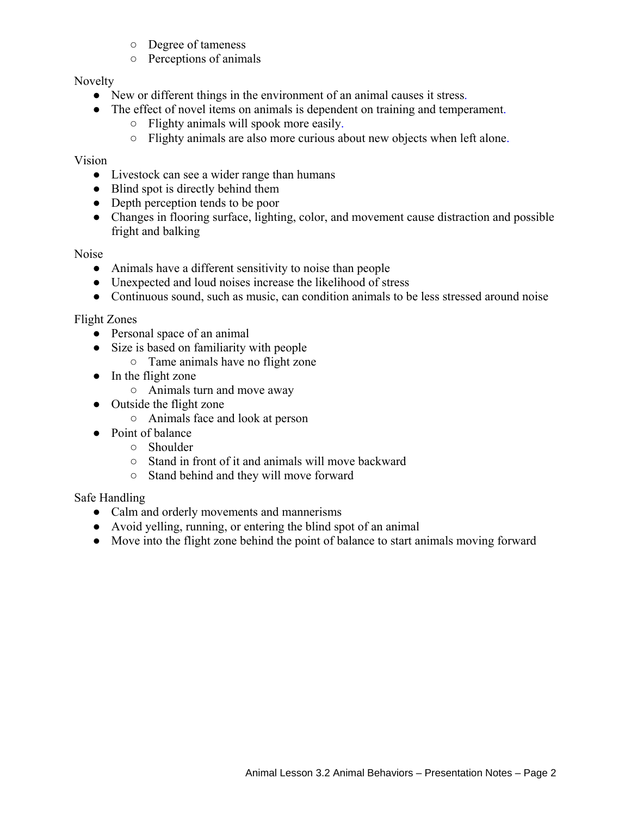- Degree of tameness
- Perceptions of animals

Novelty

- New or different things in the environment of an animal causes it stress.
- The effect of novel items on animals is dependent on training and temperament.
	- Flighty animals will spook more easily.
	- Flighty animals are also more curious about new objects when left alone.

Vision

- Livestock can see a wider range than humans
- Blind spot is directly behind them
- Depth perception tends to be poor
- Changes in flooring surface, lighting, color, and movement cause distraction and possible fright and balking

Noise

- Animals have a different sensitivity to noise than people
- Unexpected and loud noises increase the likelihood of stress
- Continuous sound, such as music, can condition animals to be less stressed around noise

Flight Zones

- Personal space of an animal
- Size is based on familiarity with people
	- Tame animals have no flight zone
- In the flight zone
	- Animals turn and move away
- Outside the flight zone
	- Animals face and look at person
- Point of balance
	- Shoulder
	- Stand in front of it and animals will move backward
	- Stand behind and they will move forward

Safe Handling

- Calm and orderly movements and mannerisms
- Avoid yelling, running, or entering the blind spot of an animal
- Move into the flight zone behind the point of balance to start animals moving forward